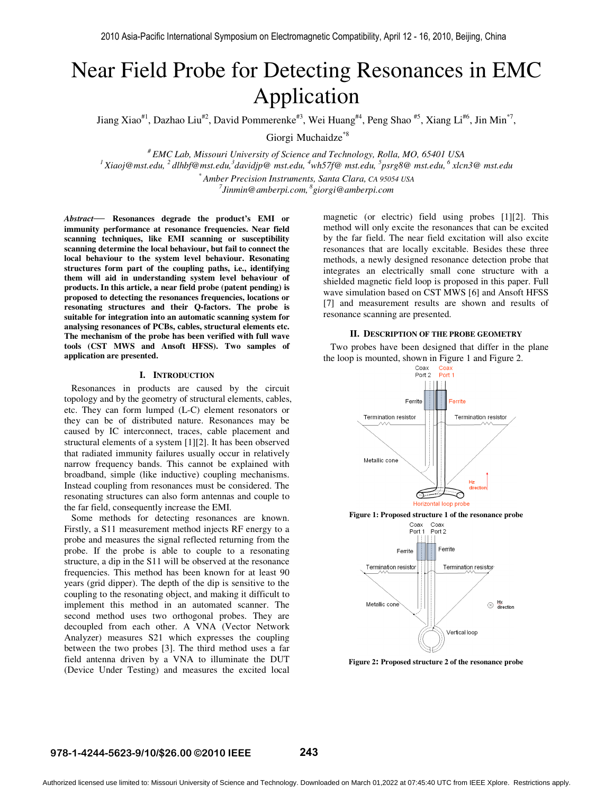# Near Field Probe for Detecting Resonances in EMC Application

Jiang Xiao<sup>#1</sup>, Dazhao Liu<sup>#2</sup>, David Pommerenke<sup>#3</sup>, Wei Huang<sup>#4</sup>, Peng Shao <sup>#5</sup>, Xiang Li<sup>#6</sup>, Jin Min<sup>\*7</sup>,

Giorgi Muchaidze<sup>\*8</sup>

*# EMC Lab, Missouri University of Science and Technology, Rolla, MO, 65401 USA <sup>1</sup>Xiaoj@mst.edu, <sup>2</sup>dlhbf@mst.edu,<sup>3</sup> davidjp@ mst.edu, <sup>4</sup>wh57f@ mst.edu, <sup>5</sup> psrg8@ mst.edu,<sup>6</sup> xlcn3@ mst.edu \* Amber Precision Instruments, Santa Clara, CA 95054 USA*

*7 Jinmin@amberpi.com,<sup>8</sup>giorgi@amberpi.com* 

*Abstract*— **Resonances degrade the product's EMI or immunity performance at resonance frequencies. Near field scanning techniques, like EMI scanning or susceptibility scanning determine the local behaviour, but fail to connect the local behaviour to the system level behaviour. Resonating structures form part of the coupling paths, i.e., identifying them will aid in understanding system level behaviour of products. In this article, a near field probe (patent pending) is proposed to detecting the resonances frequencies, locations or resonating structures and their Q-factors. The probe is suitable for integration into an automatic scanning system for analysing resonances of PCBs, cables, structural elements etc. The mechanism of the probe has been verified with full wave tools (CST MWS and Ansoft HFSS). Two samples of application are presented.** 

#### **I. INTRODUCTION**

 Resonances in products are caused by the circuit topology and by the geometry of structural elements, cables, etc. They can form lumped (L-C) element resonators or they can be of distributed nature. Resonances may be caused by IC interconnect, traces, cable placement and structural elements of a system [1][2]. It has been observed that radiated immunity failures usually occur in relatively narrow frequency bands. This cannot be explained with broadband, simple (like inductive) coupling mechanisms. Instead coupling from resonances must be considered. The resonating structures can also form antennas and couple to the far field, consequently increase the EMI.

 Some methods for detecting resonances are known. Firstly, a S11 measurement method injects RF energy to a probe and measures the signal reflected returning from the probe. If the probe is able to couple to a resonating structure, a dip in the S11 will be observed at the resonance frequencies. This method has been known for at least 90 years (grid dipper). The depth of the dip is sensitive to the coupling to the resonating object, and making it difficult to implement this method in an automated scanner. The second method uses two orthogonal probes. They are decoupled from each other. A VNA (Vector Network Analyzer) measures S21 which expresses the coupling between the two probes [3]. The third method uses a far field antenna driven by a VNA to illuminate the DUT (Device Under Testing) and measures the excited local

magnetic (or electric) field using probes [1][2]. This method will only excite the resonances that can be excited by the far field. The near field excitation will also excite resonances that are locally excitable. Besides these three methods, a newly designed resonance detection probe that integrates an electrically small cone structure with a shielded magnetic field loop is proposed in this paper. Full wave simulation based on CST MWS [6] and Ansoft HFSS [7] and measurement results are shown and results of resonance scanning are presented.

#### **II. DESCRIPTION OF THE PROBE GEOMETRY**

 Two probes have been designed that differ in the plane the loop is mounted, shown in Figure 1 and Figure 2.<br>  $\frac{C_{\text{Oax}}}{\text{Port 1}}$ 



**Figure 2: Proposed structure 2 of the resonance probe** 

#### **978-1-4244-5623-9/10/\$26.00 ©2010 IEEE 243**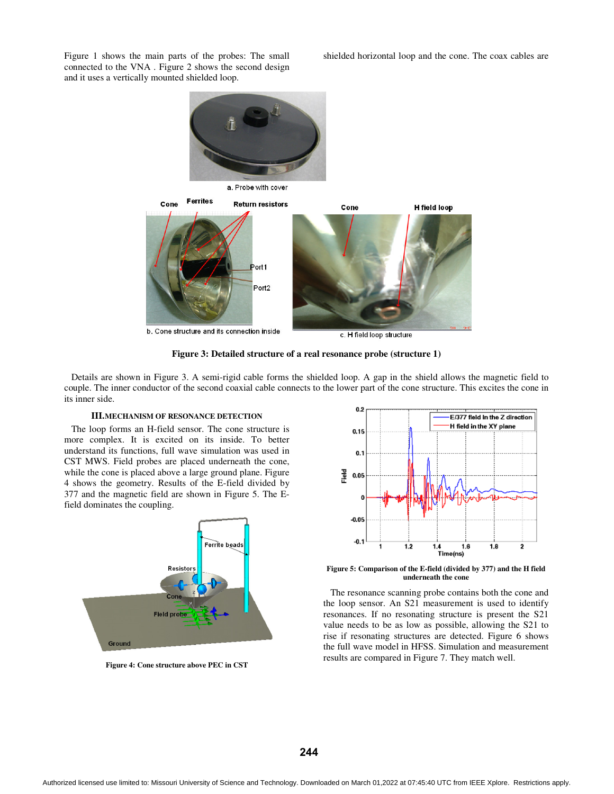Figure 1 shows the main parts of the probes: The small shielded horizontal loop and the cone. The coax cables are connected to the VNA . Figure 2 shows the second design and it uses a vertically mounted shielded loop.



b. Cone structure and its connection inside

c. H field loop structure

**Figure 3: Detailed structure of a real resonance probe (structure 1)** 

 Details are shown in Figure 3. A semi-rigid cable forms the shielded loop. A gap in the shield allows the magnetic field to couple. The inner conductor of the second coaxial cable connects to the lower part of the cone structure. This excites the cone in its inner side.

#### **III.MECHANISM OF RESONANCE DETECTION**

 The loop forms an H-field sensor. The cone structure is more complex. It is excited on its inside. To better understand its functions, full wave simulation was used in CST MWS. Field probes are placed underneath the cone, while the cone is placed above a large ground plane. Figure 4 shows the geometry. Results of the E-field divided by 377 and the magnetic field are shown in Figure 5. The Efield dominates the coupling.



**Figure 4: Cone structure above PEC in CST** 



**Figure 5: Comparison of the E-field (divided by 377) and the H field underneath the cone** 

 The resonance scanning probe contains both the cone and the loop sensor. An S21 measurement is used to identify resonances. If no resonating structure is present the S21 value needs to be as low as possible, allowing the S21 to rise if resonating structures are detected. Figure 6 shows the full wave model in HFSS. Simulation and measurement results are compared in Figure 7. They match well.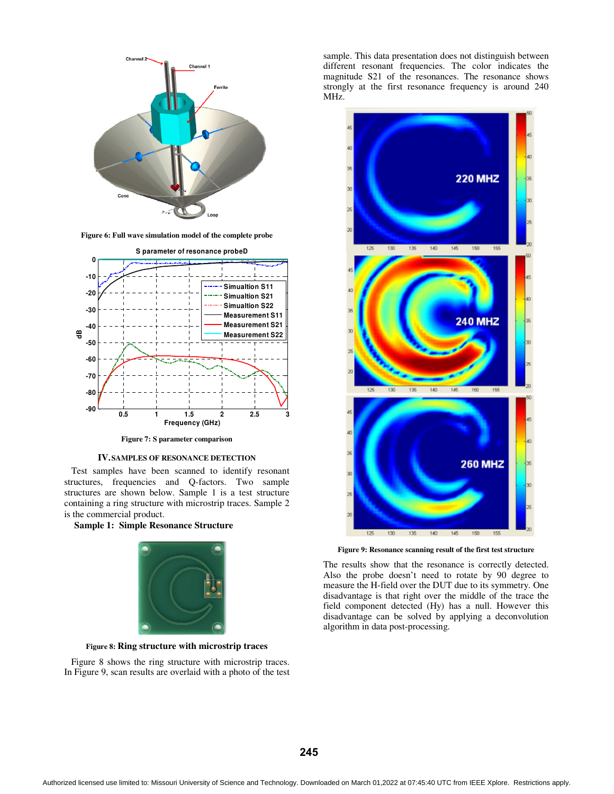

**Figure 6: Full wave simulation model of the complete probe** 



**Figure 7: S parameter comparison** 

#### **IV.SAMPLES OF RESONANCE DETECTION**

 Test samples have been scanned to identify resonant structures, frequencies and Q-factors. Two sample structures are shown below. Sample 1 is a test structure containing a ring structure with microstrip traces. Sample 2 is the commercial product.

**Sample 1: Simple Resonance Structure** 



**Figure 8: Ring structure with microstrip traces**

 Figure 8 shows the ring structure with microstrip traces. In Figure 9, scan results are overlaid with a photo of the test sample. This data presentation does not distinguish between different resonant frequencies. The color indicates the magnitude S21 of the resonances. The resonance shows strongly at the first resonance frequency is around 240 MHz.



**Figure 9: Resonance scanning result of the first test structure** 

The results show that the resonance is correctly detected. Also the probe doesn't need to rotate by 90 degree to measure the H-field over the DUT due to its symmetry. One disadvantage is that right over the middle of the trace the field component detected (Hy) has a null. However this disadvantage can be solved by applying a deconvolution algorithm in data post-processing.